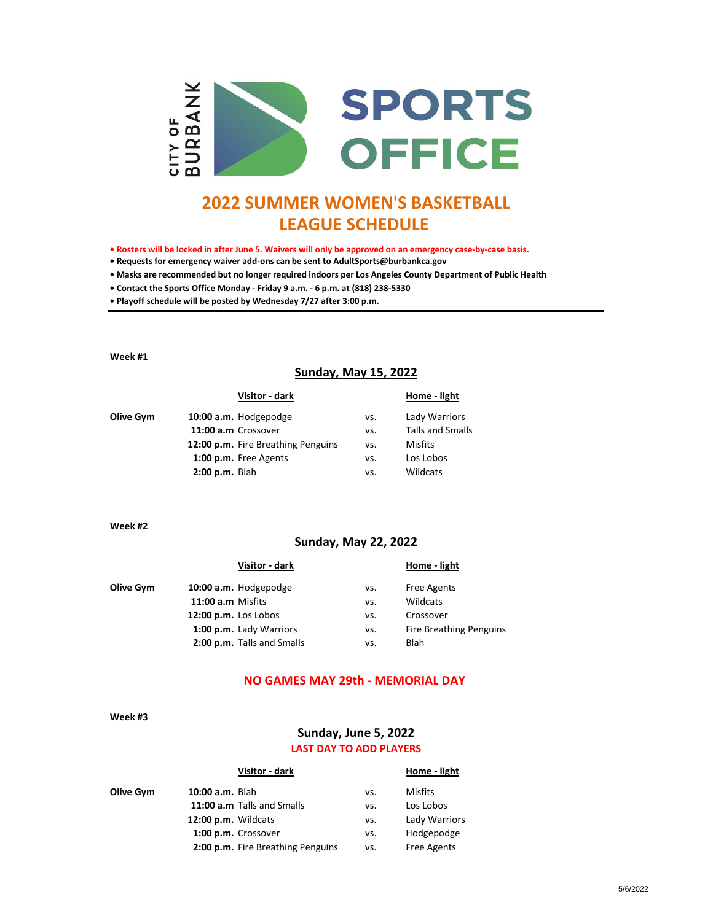

# **2022 SUMMER WOMEN'S BASKETBALL LEAGUE SCHEDULE**

**• Rosters will be locked in after June 5. Waivers will only be approved on an emergency case-by-case basis.** 

**• Requests for emergency waiver add-ons can be sent to AdultSports@burbankca.gov**

**• Masks are recommended but no longer required indoors per Los Angeles County Department of Public Health**

**• Contact the Sports Office Monday - Friday 9 a.m. - 6 p.m. at (818) 238-5330**

**• Playoff schedule will be posted by Wednesday 7/27 after 3:00 p.m.**

**Week #1**

# **Sunday, May 15, 2022**

|           | Visitor - dark                     |     | Home - light            |
|-----------|------------------------------------|-----|-------------------------|
| Olive Gym | 10:00 a.m. Hodgepodge              | vs. | Lady Warriors           |
|           | 11:00 a.m Crossover                | VS. | <b>Talls and Smalls</b> |
|           | 12:00 p.m. Fire Breathing Penguins | VS. | Misfits                 |
|           | 1:00 p.m. Free Agents              | vs. | Los Lobos               |
|           | $2:00$ p.m. Blah                   | vs. | Wildcats                |

**Week #2**

#### **Sunday, May 22, 2022**

|           | Visitor - dark             |     | Home - light                   |
|-----------|----------------------------|-----|--------------------------------|
| Olive Gym | 10:00 a.m. Hodgepodge      | VS. | <b>Free Agents</b>             |
|           | 11:00 a.m Misfits          | vs. | Wildcats                       |
|           | 12:00 p.m. Los Lobos       | vs. | Crossover                      |
|           | 1:00 p.m. Lady Warriors    | VS. | <b>Fire Breathing Penguins</b> |
|           | 2:00 p.m. Talls and Smalls | vs. | Blah                           |

# **NO GAMES MAY 29th - MEMORIAL DAY**

**Week #3**

## **Sunday, June 5, 2022**

# **LAST DAY TO ADD PLAYERS**

|           | Visitor - dark                    |     | Home - light  |
|-----------|-----------------------------------|-----|---------------|
| Olive Gym | <b>10:00 a.m.</b> Blah            | vs. | Misfits       |
|           | 11:00 a.m Talls and Smalls        | vs. | Los Lobos     |
|           | 12:00 p.m. Wildcats               | vs. | Lady Warriors |
|           | 1:00 p.m. Crossover               | vs. | Hodgepodge    |
|           | 2:00 p.m. Fire Breathing Penguins | VS. | Free Agents   |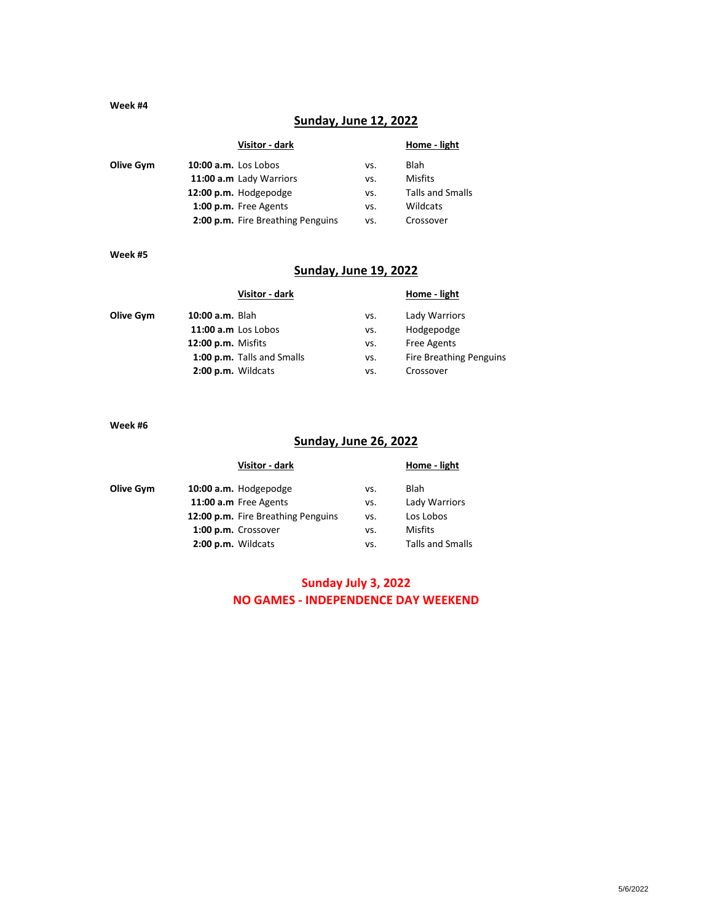#### **Week #4**

# **Sunday, June 12, 2022**

| Home - light            |
|-------------------------|
| <b>Blah</b>             |
| Misfits                 |
| <b>Talls and Smalls</b> |
| Wildcats                |
| Crossover               |
|                         |

#### **Week #5**

# **Sunday, June 19, 2022**

|           | Visitor - dark             |     | Home - light                   |
|-----------|----------------------------|-----|--------------------------------|
| Olive Gym | 10:00 a.m. Blah            | vs. | Lady Warriors                  |
|           | 11:00 a.m Los Lobos        | VS. | Hodgepodge                     |
|           | <b>12:00 p.m.</b> Misfits  | VS. | <b>Free Agents</b>             |
|           | 1:00 p.m. Talls and Smalls | VS. | <b>Fire Breathing Penguins</b> |
|           | 2:00 p.m. Wildcats         | vs. | Crossover                      |
|           |                            |     |                                |

**Week #6**

# **Sunday, June 26, 2022**

|           | Visitor - dark                     |     | Home - light            |
|-----------|------------------------------------|-----|-------------------------|
| Olive Gym | 10:00 a.m. Hodgepodge              | vs. | Blah                    |
|           | 11:00 a.m Free Agents              | VS. | Lady Warriors           |
|           | 12:00 p.m. Fire Breathing Penguins | vs. | Los Lobos               |
|           | 1:00 p.m. Crossover                | vs. | <b>Misfits</b>          |
|           | 2:00 p.m. Wildcats                 | vs. | <b>Talls and Smalls</b> |
|           |                                    |     |                         |

# **Sunday July 3, 2022 NO GAMES - INDEPENDENCE DAY WEEKEND**